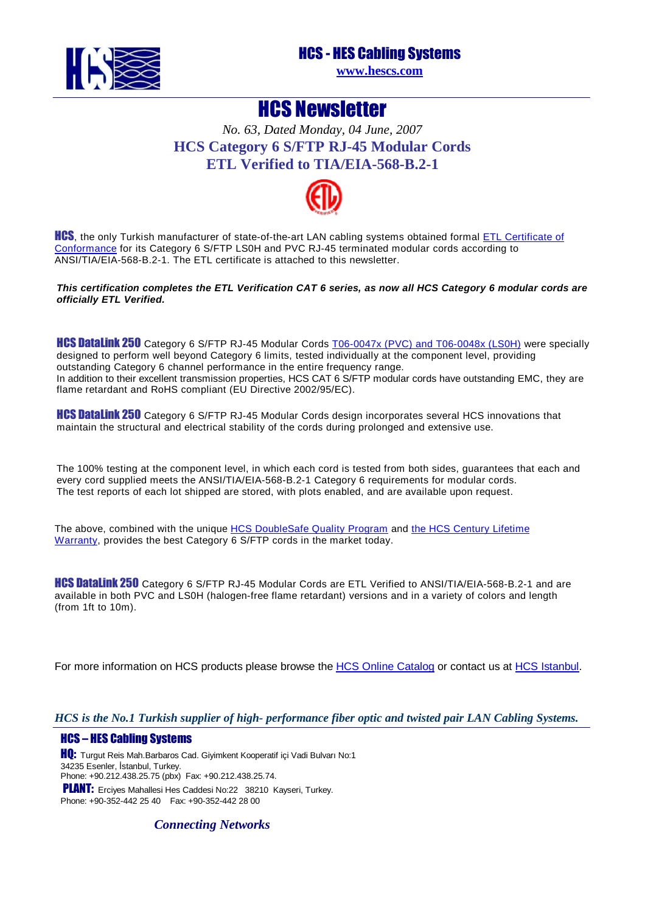

### HCS - HES Cabling Systems

**[www.hescs.com](http://www.hescs.com/)**

### HCS Newsletter

*No. 63, Dated Monday, 04 June, 2007*  **HCS Category 6 S/FTP RJ-45 Modular Cords ETL Verified to TIA/EIA-568-B.2-1** 



**HCS**, the only Turkish manufacturer of state-of-the-art LAN cabling systems obtained for[mal ETL Certificate](http://www.hescs.com/eng/pdf/T06-0047X-0048X.pdf) of Conformance for its Category 6 S/FTP LS0H and PVC RJ-45 terminated modular cords according to ANSI/TIA/EIA-568-B.2-1. The ETL certificate is attached to this newsletter.

**This certification completes the ETL Verification CAT 6 series, as now all HCS Category 6 modular cords are officially ETL Verified.** 

**HCS DataLink 250** Category 6 S/FTP RJ-45 Modular Cord[s T06-0047x \(PVC\) and T06-0048x \(LS0H\) were speciall](http://www.hescs.com/katalogen/?dosya=98_2.htm)y designed to perform well beyond Category 6 limits, tested individually at the component level, providing outstanding Category 6 channel performance in the entire frequency range. In addition to their excellent transmission properties, HCS CAT 6 S/FTP modular cords have outstanding EMC, they are flame retardant and RoHS compliant (EU Directive 2002/95/EC).

**HCS DataLink 250** Category 6 S/FTP RJ-45 Modular Cords design incorporates several HCS innovations that maintain the structural and electrical stability of the cords during prolonged and extensive use.

The 100% testing at the component level, in which each cord is tested from both sides, guarantees that each and every cord supplied meets the ANSI/TIA/EIA-568-B.2-1 Category 6 requirements for modular cords. The test reports of each lot shipped are stored, with plots enabled, and are available upon request.

The above, combined with the uniqu[e HCS DoubleSafe Quality Program and the HCS Century Lifetim](http://www.hescs.com/eng/?s=quality.htm)e Warranty, provides the best Category 6 S/FTP cords in the market today.

**HCS DataLink 250** Category 6 S/FTP RJ-45 Modular Cords are ETL Verified to ANSI/TIA/EIA-568-B.2-1 and are available in both PVC and LS0H (halogen-free flame retardant) versions and in a variety of colors and length (from 1ft to 10m).

For more information on HCS products please browse the [HCS Online Catalog or contact us at HCS Istanbul.](http://www.hescs.com/katalogen)

### *HCS is the No.1 Turkish supplier of high- performance fiber optic and twisted pair LAN Cabling Systems.*

#### HCS – HES Cabling Systems

**HQ:** Turgut Reis Mah.Barbaros Cad. Giyimkent Kooperatif içi Vadi Bulvarı No:1 34235 Esenler, İstanbul, Turkey. Phone: +90.212.438.25.75 (pbx) Fax: +90.212.438.25.74. PLANT: Ercives Mahallesi Hes Caddesi No:22 38210 Kayseri, Turkey. Phone: +90-352-442 25 40 Fax: +90-352-442 28 00

*Connecting Networks*